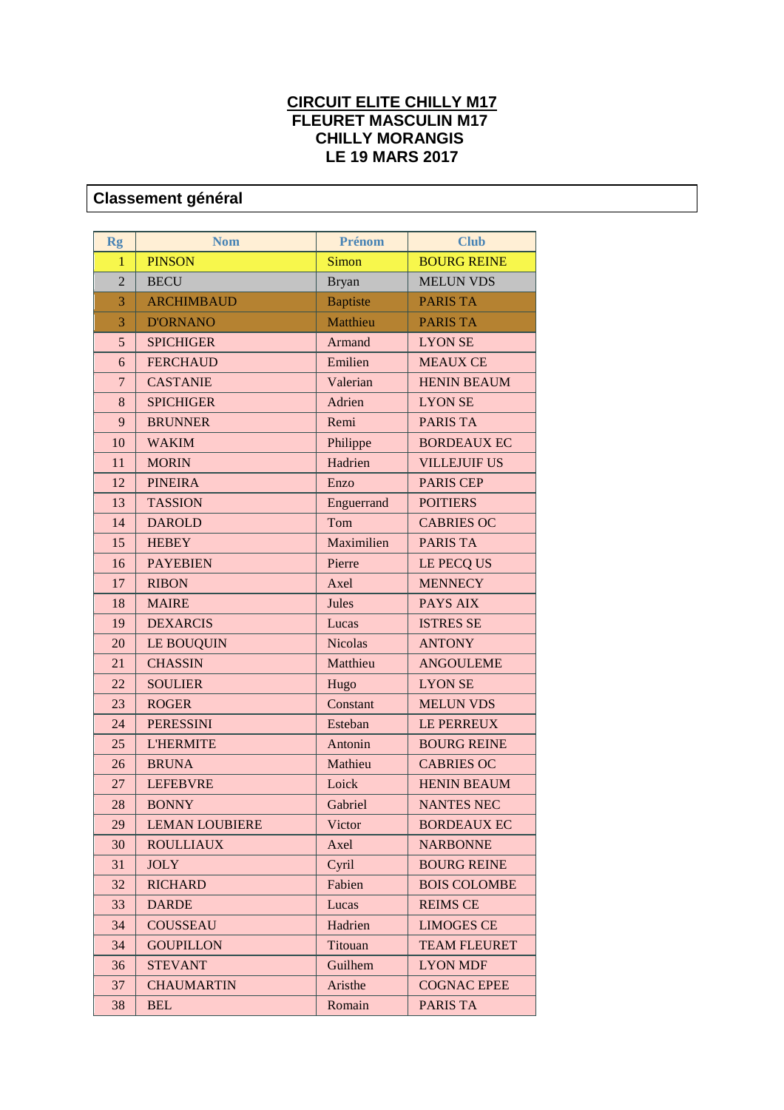## **CIRCUIT ELITE CHILLY M17 FLEURET MASCULIN M17 CHILLY MORANGIS LE 19 MARS 2017**

## **Classement général**

| <b>Rg</b>      | <b>Nom</b>            | Prénom          | <b>Club</b>         |
|----------------|-----------------------|-----------------|---------------------|
| $\mathbf{1}$   | <b>PINSON</b>         | Simon           | <b>BOURG REINE</b>  |
| $\overline{2}$ | <b>BECU</b>           | <b>Bryan</b>    | <b>MELUN VDS</b>    |
| 3              | <b>ARCHIMBAUD</b>     | <b>Baptiste</b> | <b>PARIS TA</b>     |
| 3              | <b>D'ORNANO</b>       | Matthieu        | <b>PARIS TA</b>     |
| 5              | <b>SPICHIGER</b>      | Armand          | <b>LYON SE</b>      |
| 6              | <b>FERCHAUD</b>       | Emilien         | <b>MEAUX CE</b>     |
| $\overline{7}$ | <b>CASTANIE</b>       | Valerian        | <b>HENIN BEAUM</b>  |
| 8              | <b>SPICHIGER</b>      | Adrien          | <b>LYON SE</b>      |
| 9              | <b>BRUNNER</b>        | Remi            | <b>PARIS TA</b>     |
| 10             | <b>WAKIM</b>          | Philippe        | <b>BORDEAUX EC</b>  |
| 11             | <b>MORIN</b>          | Hadrien         | <b>VILLEJUIF US</b> |
| 12             | <b>PINEIRA</b>        | Enzo            | <b>PARIS CEP</b>    |
| 13             | <b>TASSION</b>        | Enguerrand      | <b>POITIERS</b>     |
| 14             | <b>DAROLD</b>         | Tom             | <b>CABRIES OC</b>   |
| 15             | <b>HEBEY</b>          | Maximilien      | <b>PARIS TA</b>     |
| 16             | <b>PAYEBIEN</b>       | Pierre          | LE PECQ US          |
| 17             | <b>RIBON</b>          | Axel            | <b>MENNECY</b>      |
| 18             | <b>MAIRE</b>          | Jules           | <b>PAYS AIX</b>     |
| 19             | <b>DEXARCIS</b>       | Lucas           | <b>ISTRES SE</b>    |
| 20             | LE BOUQUIN            | <b>Nicolas</b>  | <b>ANTONY</b>       |
| 21             | <b>CHASSIN</b>        | Matthieu        | <b>ANGOULEME</b>    |
| 22             | <b>SOULIER</b>        | Hugo            | <b>LYON SE</b>      |
| 23             | <b>ROGER</b>          | Constant        | <b>MELUN VDS</b>    |
| 24             | <b>PERESSINI</b>      | Esteban         | LE PERREUX          |
| 25             | <b>L'HERMITE</b>      | Antonin         | <b>BOURG REINE</b>  |
| 26             | <b>BRUNA</b>          | Mathieu         | <b>CABRIES OC</b>   |
| 27             | <b>LEFEBVRE</b>       | Loick           | <b>HENIN BEAUM</b>  |
| 28             | <b>BONNY</b>          | Gabriel         | <b>NANTES NEC</b>   |
| 29             | <b>LEMAN LOUBIERE</b> | Victor          | <b>BORDEAUX EC</b>  |
| 30             | <b>ROULLIAUX</b>      | Axel            | <b>NARBONNE</b>     |
| 31             | <b>JOLY</b>           | Cyril           | <b>BOURG REINE</b>  |
| 32             | <b>RICHARD</b>        | Fabien          | <b>BOIS COLOMBE</b> |
| 33             | <b>DARDE</b>          | Lucas           | <b>REIMS CE</b>     |
| 34             | <b>COUSSEAU</b>       | Hadrien         | <b>LIMOGES CE</b>   |
| 34             | <b>GOUPILLON</b>      | Titouan         | <b>TEAM FLEURET</b> |
| 36             | <b>STEVANT</b>        | Guilhem         | <b>LYON MDF</b>     |
| 37             | <b>CHAUMARTIN</b>     | Aristhe         | <b>COGNAC EPEE</b>  |
| 38             | <b>BEL</b>            | Romain          | <b>PARIS TA</b>     |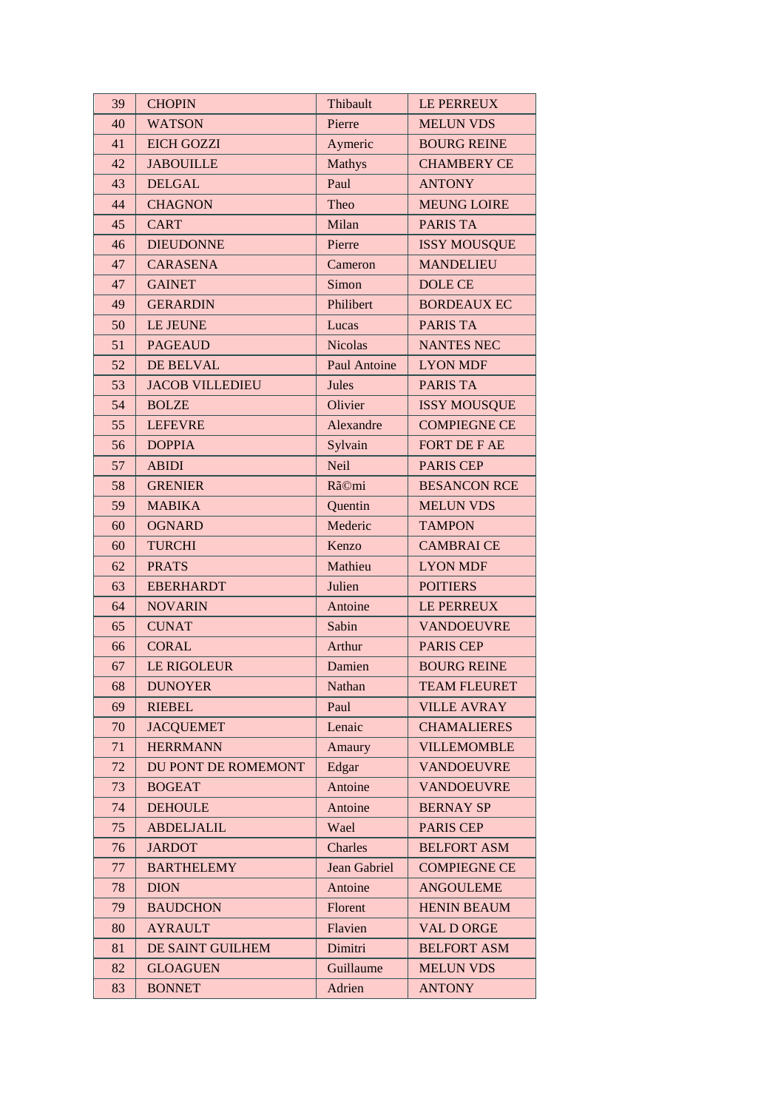| 39 | <b>CHOPIN</b>          | Thibault            | <b>LE PERREUX</b>   |
|----|------------------------|---------------------|---------------------|
| 40 | <b>WATSON</b>          | Pierre              | <b>MELUN VDS</b>    |
| 41 | <b>EICH GOZZI</b>      | Aymeric             | <b>BOURG REINE</b>  |
| 42 | <b>JABOUILLE</b>       | <b>Mathys</b>       | <b>CHAMBERY CE</b>  |
| 43 | <b>DELGAL</b>          | Paul                | <b>ANTONY</b>       |
| 44 | <b>CHAGNON</b>         | Theo                | <b>MEUNG LOIRE</b>  |
| 45 | <b>CART</b>            | Milan               | <b>PARIS TA</b>     |
| 46 | <b>DIEUDONNE</b>       | Pierre              | <b>ISSY MOUSQUE</b> |
| 47 | <b>CARASENA</b>        | Cameron             | <b>MANDELIEU</b>    |
| 47 | <b>GAINET</b>          | Simon               | <b>DOLE CE</b>      |
| 49 | <b>GERARDIN</b>        | Philibert           | <b>BORDEAUX EC</b>  |
| 50 | LE JEUNE               | Lucas               | <b>PARIS TA</b>     |
| 51 | <b>PAGEAUD</b>         | <b>Nicolas</b>      | <b>NANTES NEC</b>   |
| 52 | <b>DE BELVAL</b>       | <b>Paul Antoine</b> | <b>LYON MDF</b>     |
| 53 | <b>JACOB VILLEDIEU</b> | Jules               | <b>PARIS TA</b>     |
| 54 | <b>BOLZE</b>           | Olivier             | <b>ISSY MOUSQUE</b> |
| 55 | <b>LEFEVRE</b>         | Alexandre           | <b>COMPIEGNE CE</b> |
| 56 | <b>DOPPIA</b>          | Sylvain             | <b>FORT DE F AE</b> |
| 57 | <b>ABIDI</b>           | <b>Neil</b>         | <b>PARIS CEP</b>    |
| 58 | <b>GRENIER</b>         | Rã©mi               | <b>BESANCON RCE</b> |
| 59 | <b>MABIKA</b>          | Quentin             | <b>MELUN VDS</b>    |
| 60 | <b>OGNARD</b>          | Mederic             | <b>TAMPON</b>       |
| 60 | <b>TURCHI</b>          | Kenzo               | <b>CAMBRAICE</b>    |
| 62 | <b>PRATS</b>           | Mathieu             | <b>LYON MDF</b>     |
| 63 | <b>EBERHARDT</b>       | Julien              | <b>POITIERS</b>     |
| 64 | <b>NOVARIN</b>         | Antoine             | <b>LE PERREUX</b>   |
| 65 | <b>CUNAT</b>           | Sabin               | <b>VANDOEUVRE</b>   |
| 66 | <b>CORAL</b>           | Arthur              | <b>PARIS CEP</b>    |
| 67 | <b>LE RIGOLEUR</b>     | Damien              | <b>BOURG REINE</b>  |
| 68 | <b>DUNOYER</b>         | Nathan              | <b>TEAM FLEURET</b> |
| 69 | <b>RIEBEL</b>          | Paul                | <b>VILLE AVRAY</b>  |
| 70 | <b>JACQUEMET</b>       | Lenaic              | <b>CHAMALIERES</b>  |
| 71 | <b>HERRMANN</b>        | Amaury              | <b>VILLEMOMBLE</b>  |
| 72 | DU PONT DE ROMEMONT    | Edgar               | <b>VANDOEUVRE</b>   |
| 73 | <b>BOGEAT</b>          | Antoine             | <b>VANDOEUVRE</b>   |
| 74 | <b>DEHOULE</b>         | Antoine             | <b>BERNAY SP</b>    |
| 75 | <b>ABDELJALIL</b>      | Wael                | <b>PARIS CEP</b>    |
| 76 | <b>JARDOT</b>          | Charles             | <b>BELFORT ASM</b>  |
| 77 | <b>BARTHELEMY</b>      | Jean Gabriel        | <b>COMPIEGNE CE</b> |
| 78 | <b>DION</b>            | Antoine             | <b>ANGOULEME</b>    |
| 79 | <b>BAUDCHON</b>        | Florent             | <b>HENIN BEAUM</b>  |
| 80 | <b>AYRAULT</b>         | Flavien             | <b>VAL D ORGE</b>   |
| 81 | DE SAINT GUILHEM       | Dimitri             | <b>BELFORT ASM</b>  |
| 82 | <b>GLOAGUEN</b>        | Guillaume           | <b>MELUN VDS</b>    |
| 83 | <b>BONNET</b>          | Adrien              | <b>ANTONY</b>       |